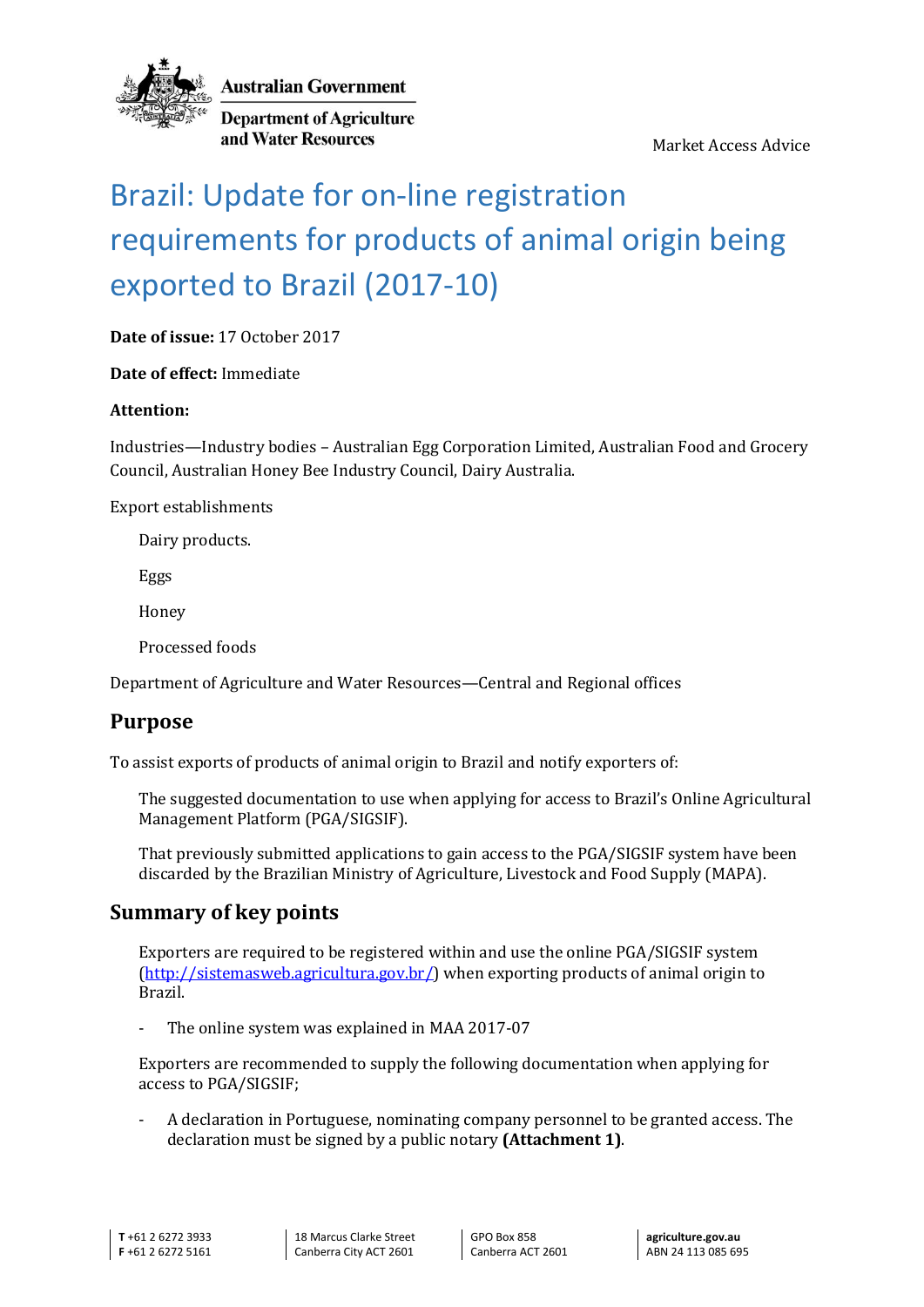

**Australian Government** 

**Department of Agriculture** and Water Resources

Market Access Advice

# Brazil: Update for on-line registration requirements for products of animal origin being exported to Brazil (2017-10)

**Date of issue:** 17 October 2017

**Date of effect:** Immediate

#### **Attention:**

Industries—Industry bodies – Australian Egg Corporation Limited, Australian Food and Grocery Council, Australian Honey Bee Industry Council, Dairy Australia.

Export establishments

Dairy products.

Eggs

Honey

Processed foods

Department of Agriculture and Water Resources—Central and Regional offices

## **Purpose**

To assist exports of products of animal origin to Brazil and notify exporters of:

The suggested documentation to use when applying for access to Brazil's Online Agricultural Management Platform (PGA/SIGSIF).

That previously submitted applications to gain access to the PGA/SIGSIF system have been discarded by the Brazilian Ministry of Agriculture, Livestock and Food Supply (MAPA).

#### **Summary of key points**

Exporters are required to be registered within and use the online PGA/SIGSIF system [\(http://sistemasweb.agricultura.gov.br/\)](http://sistemasweb.agricultura.gov.br/) when exporting products of animal origin to Brazil.

The online system was explained in MAA 2017-07

Exporters are recommended to supply the following documentation when applying for access to PGA/SIGSIF;

- A declaration in Portuguese, nominating company personnel to be granted access. The declaration must be signed by a public notary **(Attachment 1)**.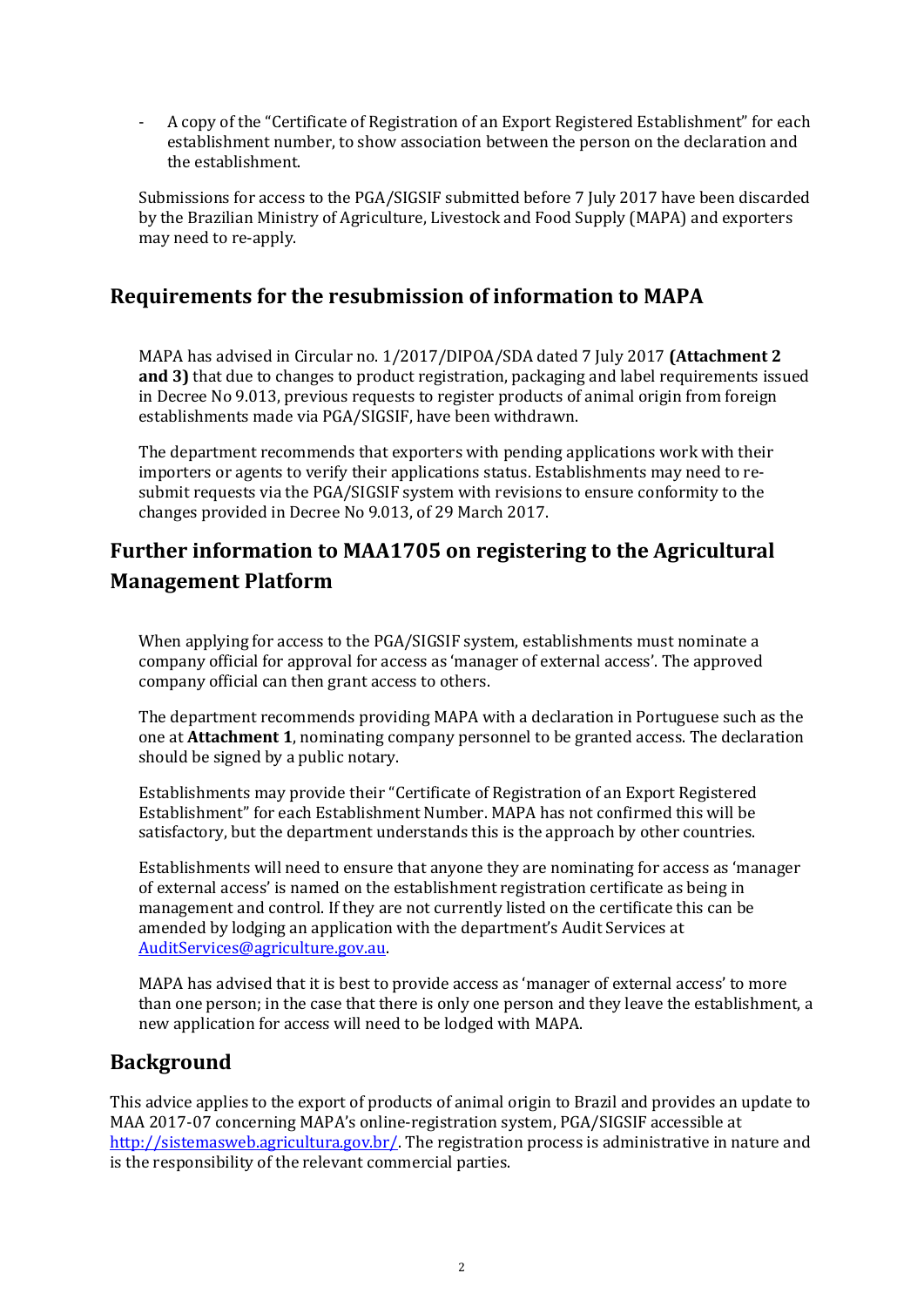- A copy of the "Certificate of Registration of an Export Registered Establishment" for each establishment number, to show association between the person on the declaration and the establishment.

Submissions for access to the PGA/SIGSIF submitted before 7 July 2017 have been discarded by the Brazilian Ministry of Agriculture, Livestock and Food Supply (MAPA) and exporters may need to re-apply.

#### **Requirements for the resubmission of information to MAPA**

MAPA has advised in Circular no. 1/2017/DIPOA/SDA dated 7 July 2017 **(Attachment 2 and 3)** that due to changes to product registration, packaging and label requirements issued in Decree No 9.013, previous requests to register products of animal origin from foreign establishments made via PGA/SIGSIF, have been withdrawn.

The department recommends that exporters with pending applications work with their importers or agents to verify their applications status. Establishments may need to resubmit requests via the PGA/SIGSIF system with revisions to ensure conformity to the changes provided in Decree No 9.013, of 29 March 2017.

# **Further information to MAA1705 on registering to the Agricultural Management Platform**

When applying for access to the PGA/SIGSIF system, establishments must nominate a company official for approval for access as 'manager of external access'. The approved company official can then grant access to others.

The department recommends providing MAPA with a declaration in Portuguese such as the one at **Attachment 1**, nominating company personnel to be granted access. The declaration should be signed by a public notary.

Establishments may provide their "Certificate of Registration of an Export Registered Establishment" for each Establishment Number. MAPA has not confirmed this will be satisfactory, but the department understands this is the approach by other countries.

Establishments will need to ensure that anyone they are nominating for access as 'manager of external access' is named on the establishment registration certificate as being in management and control. If they are not currently listed on the certificate this can be amended by lodging an application with the department's Audit Services at [AuditServices@agriculture.gov.au.](mailto:AuditServices@agriculture.gov.au)

MAPA has advised that it is best to provide access as 'manager of external access' to more than one person; in the case that there is only one person and they leave the establishment, a new application for access will need to be lodged with MAPA.

## **Background**

This advice applies to the export of products of animal origin to Brazil and provides an update to MAA 2017-07 concerning MAPA's online-registration system, PGA/SIGSIF accessible at [http://sistemasweb.agricultura.gov.br/.](http://sistemasweb.agricultura.gov.br/) The registration process is administrative in nature and is the responsibility of the relevant commercial parties.